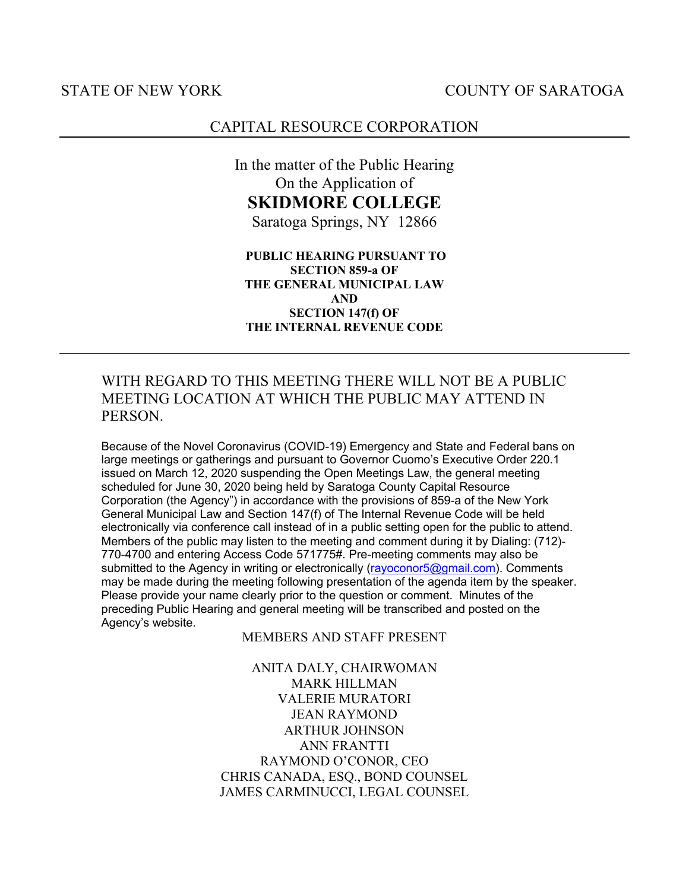## STATE OF NEW YORK COUNTY OF SARATOGA

## CAPITAL RESOURCE CORPORATION

In the matter of the Public Hearing On the Application of **SKIDMORE COLLEGE** Saratoga Springs, NY 12866

**PUBLIC HEARING PURSUANT TO SECTION 859-a OF THE GENERAL MUNICIPAL LAW AND SECTION 147(f) OF THE INTERNAL REVENUE CODE**

## WITH REGARD TO THIS MEETING THERE WILL NOT BE A PUBLIC MEETING LOCATION AT WHICH THE PUBLIC MAY ATTEND IN PERSON.

Because of the Novel Coronavirus (COVID-19) Emergency and State and Federal bans on large meetings or gatherings and pursuant to Governor Cuomo's Executive Order 220.1 issued on March 12, 2020 suspending the Open Meetings Law, the general meeting scheduled for June 30, 2020 being held by Saratoga County Capital Resource Corporation (the Agency") in accordance with the provisions of 859-a of the New York General Municipal Law and Section 147(f) of The Internal Revenue Code will be held electronically via conference call instead of in a public setting open for the public to attend. Members of the public may listen to the meeting and comment during it by Dialing: (712)- 770-4700 and entering Access Code 571775#. Pre-meeting comments may also be submitted to the Agency in writing or electronically (rayoconor5@gmail.com). Comments may be made during the meeting following presentation of the agenda item by the speaker. Please provide your name clearly prior to the question or comment. Minutes of the preceding Public Hearing and general meeting will be transcribed and posted on the Agency's website.

MEMBERS AND STAFF PRESENT

ANITA DALY, CHAIRWOMAN MARK HILLMAN VALERIE MURATORI JEAN RAYMOND ARTHUR JOHNSON ANN FRANTTI RAYMOND O'CONOR, CEO CHRIS CANADA, ESQ., BOND COUNSEL JAMES CARMINUCCI, LEGAL COUNSEL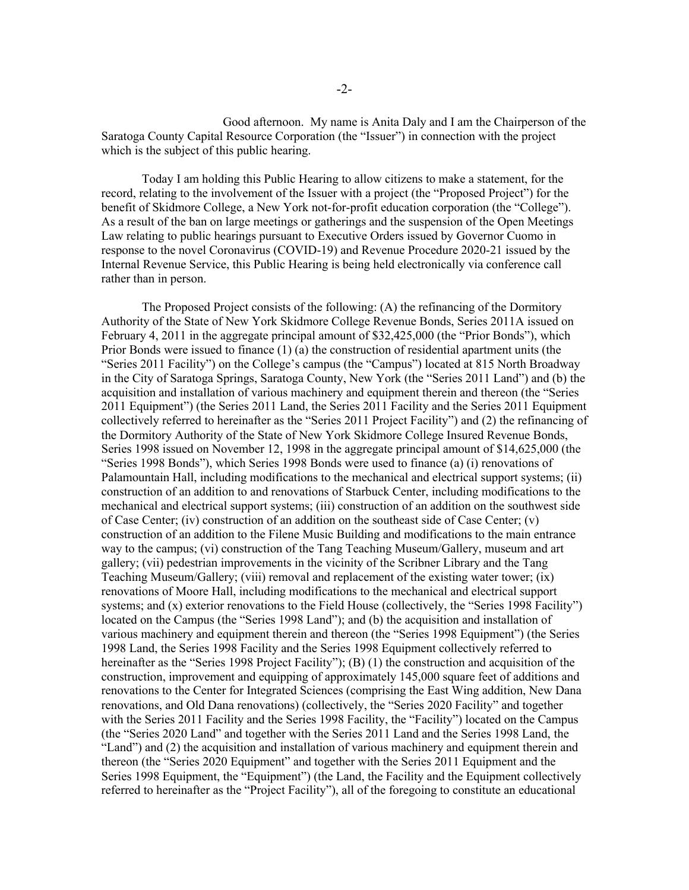Good afternoon. My name is Anita Daly and I am the Chairperson of the Saratoga County Capital Resource Corporation (the "Issuer") in connection with the project which is the subject of this public hearing.

Today I am holding this Public Hearing to allow citizens to make a statement, for the record, relating to the involvement of the Issuer with a project (the "Proposed Project") for the benefit of Skidmore College, a New York not-for-profit education corporation (the "College"). As a result of the ban on large meetings or gatherings and the suspension of the Open Meetings Law relating to public hearings pursuant to Executive Orders issued by Governor Cuomo in response to the novel Coronavirus (COVID-19) and Revenue Procedure 2020-21 issued by the Internal Revenue Service, this Public Hearing is being held electronically via conference call rather than in person.

The Proposed Project consists of the following: (A) the refinancing of the Dormitory Authority of the State of New York Skidmore College Revenue Bonds, Series 2011A issued on February 4, 2011 in the aggregate principal amount of \$32,425,000 (the "Prior Bonds"), which Prior Bonds were issued to finance (1) (a) the construction of residential apartment units (the "Series 2011 Facility") on the College's campus (the "Campus") located at 815 North Broadway in the City of Saratoga Springs, Saratoga County, New York (the "Series 2011 Land") and (b) the acquisition and installation of various machinery and equipment therein and thereon (the "Series 2011 Equipment") (the Series 2011 Land, the Series 2011 Facility and the Series 2011 Equipment collectively referred to hereinafter as the "Series 2011 Project Facility") and (2) the refinancing of the Dormitory Authority of the State of New York Skidmore College Insured Revenue Bonds, Series 1998 issued on November 12, 1998 in the aggregate principal amount of \$14,625,000 (the "Series 1998 Bonds"), which Series 1998 Bonds were used to finance (a) (i) renovations of Palamountain Hall, including modifications to the mechanical and electrical support systems; (ii) construction of an addition to and renovations of Starbuck Center, including modifications to the mechanical and electrical support systems; (iii) construction of an addition on the southwest side of Case Center; (iv) construction of an addition on the southeast side of Case Center; (v) construction of an addition to the Filene Music Building and modifications to the main entrance way to the campus; (vi) construction of the Tang Teaching Museum/Gallery, museum and art gallery; (vii) pedestrian improvements in the vicinity of the Scribner Library and the Tang Teaching Museum/Gallery; (viii) removal and replacement of the existing water tower; (ix) renovations of Moore Hall, including modifications to the mechanical and electrical support systems; and (x) exterior renovations to the Field House (collectively, the "Series 1998 Facility") located on the Campus (the "Series 1998 Land"); and (b) the acquisition and installation of various machinery and equipment therein and thereon (the "Series 1998 Equipment") (the Series 1998 Land, the Series 1998 Facility and the Series 1998 Equipment collectively referred to hereinafter as the "Series 1998 Project Facility"); (B) (1) the construction and acquisition of the construction, improvement and equipping of approximately 145,000 square feet of additions and renovations to the Center for Integrated Sciences (comprising the East Wing addition, New Dana renovations, and Old Dana renovations) (collectively, the "Series 2020 Facility" and together with the Series 2011 Facility and the Series 1998 Facility, the "Facility") located on the Campus (the "Series 2020 Land" and together with the Series 2011 Land and the Series 1998 Land, the "Land") and (2) the acquisition and installation of various machinery and equipment therein and thereon (the "Series 2020 Equipment" and together with the Series 2011 Equipment and the Series 1998 Equipment, the "Equipment") (the Land, the Facility and the Equipment collectively referred to hereinafter as the "Project Facility"), all of the foregoing to constitute an educational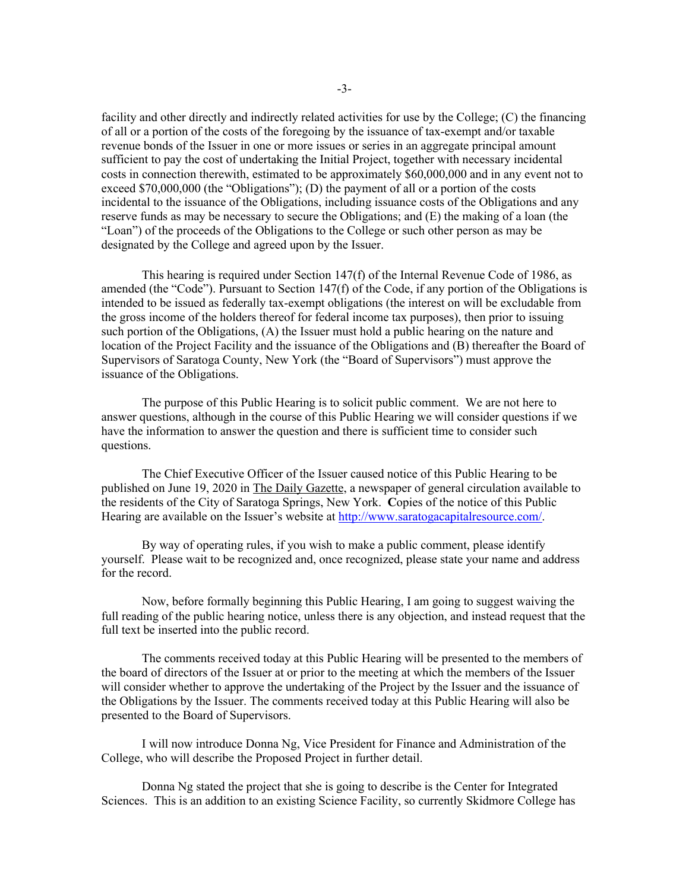facility and other directly and indirectly related activities for use by the College; (C) the financing of all or a portion of the costs of the foregoing by the issuance of tax-exempt and/or taxable revenue bonds of the Issuer in one or more issues or series in an aggregate principal amount sufficient to pay the cost of undertaking the Initial Project, together with necessary incidental costs in connection therewith, estimated to be approximately \$60,000,000 and in any event not to exceed \$70,000,000 (the "Obligations"); (D) the payment of all or a portion of the costs incidental to the issuance of the Obligations, including issuance costs of the Obligations and any reserve funds as may be necessary to secure the Obligations; and (E) the making of a loan (the "Loan") of the proceeds of the Obligations to the College or such other person as may be designated by the College and agreed upon by the Issuer.

This hearing is required under Section 147(f) of the Internal Revenue Code of 1986, as amended (the "Code"). Pursuant to Section 147(f) of the Code, if any portion of the Obligations is intended to be issued as federally tax-exempt obligations (the interest on will be excludable from the gross income of the holders thereof for federal income tax purposes), then prior to issuing such portion of the Obligations, (A) the Issuer must hold a public hearing on the nature and location of the Project Facility and the issuance of the Obligations and (B) thereafter the Board of Supervisors of Saratoga County, New York (the "Board of Supervisors") must approve the issuance of the Obligations.

The purpose of this Public Hearing is to solicit public comment. We are not here to answer questions, although in the course of this Public Hearing we will consider questions if we have the information to answer the question and there is sufficient time to consider such questions.

The Chief Executive Officer of the Issuer caused notice of this Public Hearing to be published on June 19, 2020 in The Daily Gazette, a newspaper of general circulation available to the residents of the City of Saratoga Springs, New York. **C**opies of the notice of this Public Hearing are available on the Issuer's website at http://www.saratogacapitalresource.com/.

By way of operating rules, if you wish to make a public comment, please identify yourself. Please wait to be recognized and, once recognized, please state your name and address for the record.

Now, before formally beginning this Public Hearing, I am going to suggest waiving the full reading of the public hearing notice, unless there is any objection, and instead request that the full text be inserted into the public record.

The comments received today at this Public Hearing will be presented to the members of the board of directors of the Issuer at or prior to the meeting at which the members of the Issuer will consider whether to approve the undertaking of the Project by the Issuer and the issuance of the Obligations by the Issuer. The comments received today at this Public Hearing will also be presented to the Board of Supervisors.

I will now introduce Donna Ng, Vice President for Finance and Administration of the College, who will describe the Proposed Project in further detail.

Donna Ng stated the project that she is going to describe is the Center for Integrated Sciences. This is an addition to an existing Science Facility, so currently Skidmore College has